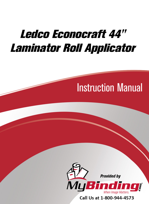# Ledco Econocraft 44" [Laminator Roll Applicator](https://www.mybinding.com/ledco-econocraft-44-laminator-roll-applicator.html)

# Instruction Manual



Call Us at 1-800-944-4573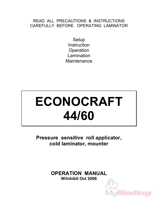### READ ALL PRECAUTIONS & INSTRUCTIONS CAREFULLY BEFORE OPERATING LAMINATOR

**Setup Instruction Operation** Lamination **Maintenance** 

# **ECONOCRAFT 44/60**

**Pressure sensitive roll applicator, cold laminator, mounter** 

> **OPERATION MANUAL W/inhibit Oct 2006**

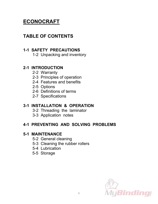# **ECONOCRAFT**

# **TABLE OF CONTENTS**

## **1-1 SAFETY PRECAUTIONS**

1-2 Unpacking and inventory

## **2-1 INTRODUCTION**

- 2-2 Warranty
- 2-3 Principles of operation
- 2-4 Features and benefits
- 2-5 Options
- 2-6 Definitions of terms
- 2-7 Specifications

# **3-1 INSTALLATION & OPERATION**

- 3-2 Threading the laminator
- 3-3 Application notes

# **4-1 PREVENTING AND SOLVING PROBLEMS**

## **5-1 MAINTENANCE**

- 5-2 General cleaning
- 5-3 Cleaning the rubber rollers
- 5-4 Lubrication
- 5-5 Storage

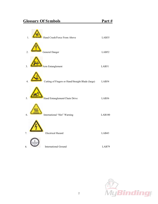| Hand Crush/Force From Above<br>$\overline{1}$ .                     | LAB35         |
|---------------------------------------------------------------------|---------------|
| General Danger<br>$\overline{2}$ .                                  | LAB52         |
| $\overline{3}$ .<br>Arm Entanglement                                | LAB51         |
| Cutting of Fingers or Hand/Straight Blade (large)<br>$\overline{4}$ | LAB54         |
| Hand Entanglement/Chain Drive<br>5.                                 | LAB36         |
| International "Hot" Warning<br>6                                    | <b>LAB100</b> |
|                                                                     |               |
| <b>Electrical Hazard</b><br>7.                                      | LAB43         |
| <b>International Ground</b><br>8.                                   | LAB79         |

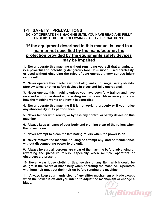#### **1-1 SAFETY PRECAUTIONS**

**DO NOT OPERATE THIS MACHINE UNTIL YOU HAVE READ AND FULLY UNDERSTOOD THE FOLLOWING SAFETY PRECAUTIONS.** 

#### **\*If the equipment described in this manual is used in a manner not specified by the manufacturer, the protection provided by the equipments safety devices may be impaired**

**1. Never operate this machine without reminding yourself that a laminator is a powerful and potentially dangerous tool. If misused, used carelessly, or used without observing the rules of safe operation, very serious injury can result.** 

**2. Never operate this machine without all guards, housings, safety shields, stop switches or other safety devices in place and fully operational.**

**3. Never operate this machine unless you have been fully trained and have received and understood all operating instructions. Make sure you know how the machine works and how it is controlled.**

**4. Never operate this machine if it is not working properly or if you notice any abnormality in its performance.**

**5. Never tamper with, rewire, or bypass any control or safety device on this machine.** 

**6. Always keep all parts of your body and clothing clear of the rollers when the power is on.**

**7. Never attempt to clean the laminating rollers when the power is on.**

**8. Never remove the machine housing or attempt any kind of maintenance without disconnecting power to the unit.**

**9. Always be sure all persons are clear of the machine before advancing or reversing the pressure rollers, especially when multiple operators or observers are present.**

**10. Never wear loose clothing, ties, jewelry or any item which could be caught in the rollers or machinery when operating the machine. Operators with long hair must put their hair up before running the machine.**

**11. Always keep your hands clear of any slitter mechanism or blade except when the power is off and you intend to adjust the mechanism or change a blade.**

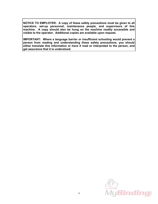**NOTICE TO EMPLOYER: A copy of these safety precautions must be given to all operators, set-up personnel, maintenance people, and supervisors of this machine. A copy should also be hung on the machine readily accessible and visible to the operator. Additional copies are available upon request.** 

**IMPORTANT: Where a language barrier or insufficient schooling would prevent a person from reading and understanding these safety precautions, you should either translate this information or have it read or interpreted to the person, and get assurance that it is understood.** 

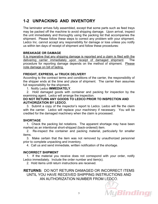## **1-2 UNPACKING AND INVENTORY**

The laminator arrives fully assembled, except that some parts such as feed trays may be packed off the machine to avoid shipping damage. Upon arrival, inspect the unit immediately and thoroughly using the packing list that accompanies the shipment. Please follow these steps to correct any problem with your shipment. Ledco Inc. cannot accept any responsibility for damage or loss unless you notify us within ten days of receipt of shipment and follow these procedures:

#### **BREAKAGE OR DAMAGE**

It is imperative that any shipping damage is reported and a claim is filed with the delivering carrier immediately upon receipt of damaged shipment. The procedure for reporting damage depends on the method of shipment. Please note damage on bill of lading.

#### **FREIGHT, EXPRESS, or TRUCK DELIVERY**

According to the contract terms and conditions of the carrier, the responsibility of the shipper ends at the time and place of shipment. The carrier then assumes full responsibility for the shipment.

1. Notify Ledco **IMMEDIATELY**.

 2. Hold damaged goods with container and packing for inspection by the examining agent. Ledco will arrange the inspection.

#### **DO NOT RETURN ANY GOODS TO LEDCO PRIOR TO INSPECTION AND AUTHORIZATION BY LEDCO.**

3. Submit a copy of the inspector's report to Ledco. Ledco will file the claim with the carrier. Ledco will replace your machinery if necessary. You will be credited for the damaged machinery when the claim is processed.

#### **SHORTAGE**

 1. Check the packing list notations. The apparent shortage may have been marked as an intentional short-shipped (back-ordered) item.

 2. Re-inspect the container and packing material, particularly for smaller items.

 3. Make certain that the item was not removed by unauthorized personnel prior to complete unpacking and inventory.

4. Call us and send immediate, written notification of the shortage.

#### **INCORRECT SHIPMENT**

 1. If the material you receive does not correspond with your order, notify Ledco immediately. Include the order number and item(s).

2. Hold items until return instructions are received.

**RETURNS:** DO NOT RETURN DAMAGED OR INCORRECT ITEMS UNTIL YOU HAVE RECEIVED SHIPPING INSTRUCTIONS AND AN AUTHORIZATION NUMBER FROM LEDCO.

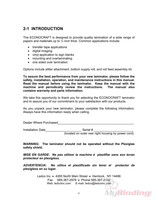## **2-1 INTRODUCTION**

The ECONOCRAFT is designed to provide quality lamination of a wide range of papers and materials up to  $\frac{1}{2}$  inch thick. Common applications include:

- transfer tape applications
- digital imaging
- vinyl application to sign blanks
- mounting and overlaminating
- one sided over lamination

Options include slitter attachment, bottom supply roll, and roll feed assembly kit.

**To assure the best performance from your new laminator, please follow the safety, installation, operation, and maintenance instructions in this manual. Read the manual before using the laminator. Keep the manual with the machine and periodically review the instructions. The manual also contains warranty and parts information.**

We take this opportunity to thank you for selecting the ECONOCRAFT laminator and to assure you of our commitment to your satisfaction with our products.

As you unpack your new laminator, please complete the following information. Always have this information ready when calling.

Dealer Where Purchased  $\Box$ 

Installation Date extending Serial # (located on outer rear right housing by power cord)

**WARNING: The laminator should not be operated without the Plexiglas safety shield.** 

*MISE EN GARDE: Ne pas utiliser la machine à plastifier sans son écran protecteur en plexiglass.* 

*ADVERTENCIA: No utilice el plastificado sin tener el protector de plexiglass en su lugar***.** 

> Ledco Inc. • 4265 North Main Street • Hemlock, NY 14466 Fax 585-367-2978 • Phone 585-367-2392 Web: ledcoinc.com E-mail: ledco@ledcoinc.com

MyBinding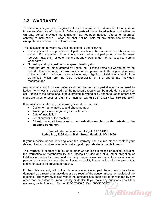## **2-2 WARRANTY**

This laminator is guaranteed against defects in material and workmanship for a period of two years after date of shipment. Defective parts will be replaced without cost within the warranty period, provided the laminator has not been abused, altered or operated contrary to instructions. Ledco Inc. shall not be liable for any alterations or repairs except those made with its written consent.

This obligation under warranty shall not extend to the following:

- The adjustment or replacement of parts which are the normal responsibility of the owner. For example, rubber rollers, scratched or chipped paint, loose fasteners (screws, nuts, etc.), or other items that show wear under normal use; i.e. "normal wear parts."
- Normal operating adjustments to speed, tension, etc.
- Parts that are not manufactured by Ledco Inc. If these items are warranted by the individual manufacturer, their warranty is, in turn, passed on to the original purchaser of the laminator. Ledco Inc. does not incur any obligation or liability as a result of the warranties which are the sole responsibility of the appropriate individual manufacturer.

Any laminator which proves defective during the warranty period may be returned to Ledco Inc. unless it is decided that the necessary repairs can be made during a service call. Notice of the defect should be submitted in writing or by phone to Ledco before any steps are taken to repair or return the machine. tel: 585-367-2392 • fax: 585-367-2978

If the machine is returned, the following should accompany it:

- Customer name, address and phone number
- Written particulars regarding the malfunction
- Date of Installation
- Serial number of the machine.
- **All returns must have a return authorization number on the outside of the shipping container.**

#### Send all returned equipment freight **PREPAID** to: **Ledco Inc., 4265 North Main Street, Hemlock, NY 14466**

If your machine needs servicing after the warranty has expired please contact your dealer. Ledco Inc. does offer technical support if your dealer is unable to assist.

This warranty is expressly in lieu of all other warranties expressed or implied, including the warranties of Merchantability and Fitness For Use and of all other obligation or liabilities of Ledco Inc., and said company neither assumes nor authorizes any other person to assume it for any other obligation or liability in connection with the sale of this laminator except as provided for above.

Further, this warranty will not apply to any machine or part thereof which has been damaged as a result of an accident or as a result of the abuse, misuse, or neglect of the machine. The warranty is also void if the laminator has been altered or repaired by any other than an authorized repair facility or dealer. If you have any questions about this warranty, contact Ledco. Phone: 585-367-2392 Fax: 585-367-2978

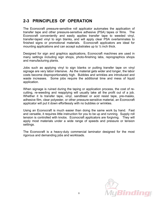## **2-3 PRINCIPLES OF OPERATION**

The Econocraft pressure-sensitive roll applicator automates the application of transfer tape and other pressure-sensitive adhesive (PSA) tapes or films. The Econocraft conveniently and easily applies transfer tape to weeded vinyl, transfer-taped vinyl to sign blanks, and will apply clear PSA overlaminates to finished signs or promotional materials. Econocraft applicators are ideal for mounting applications and can accept substrates up to  $\frac{1}{2}$  inch thick.

Designed for sign and graphics applications, Econocraft machines are used in many settings including sign shops, photo-finishing labs, reprographics shops and manufacturing plants.

Jobs such as applying vinyl to sign blanks or putting transfer tape on vinyl signage are very labor intensive. As the material gets wider and longer, the labor costs become disproportionately high. Bubbles and wrinkles are introduced and waste increases. Some jobs require the additional time and mess of liquid application.

When signage is ruined during the taping or application process, the cost of recutting, re-weeding and reapplying will usually take all the profit out of a job. Whether it Is transfer tape, vinyl, sandblast or acid resist tape, pre-masks, adhesive film, clear polyester, or other pressure-sensitive material, an Econocraft applicator will put it down effortlessly with no bubbles or wrinkles.

Using an Econocraft is much easier than doing the same work by hand. Fast and versatile, it requires little instruction for you to be up and running. Supply roll tension is controlled with knobs. Econocraft applicators are forgiving. They will apply most materials under a wide range of speeds and pressure or tension settings.

The Econocraft is a heavy-duty commercial laminator designed for the most rigorous and demanding jobs and workloads.

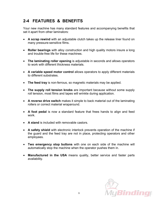# **2-4 FEATURES & BENEFITS**

Your new machine has many standard features and accompanying benefits that set it apart from other laminators:

- **A scrap rewind** with an adjustable clutch takes up the release liner found on many pressure-sensitive films.
- **Roller bearings** with alloy construction and high quality motors insure a long and trouble-free life for these machines.
- **The laminating roller opening** is adjustable in seconds and allows operators to work with different thickness materials.
- **A variable speed motor control** allows operators to apply different materials to different substrates.
- **The feed tray** is non-ferrous, so magnetic materials may be applied.
- **The supply roll tension knobs** are important because without some supply roll tension, most films and tapes will wrinkle during application.
- **A reverse drive switch** makes it simple to back material out of the laminating rollers or correct material wraparound.
- **A foot pedal** is now a standard feature that frees hands to align and feed work.
- **A stand** is included with removable castors.
- **A safety shield** with electronic interlock prevents operation of the machine if the guard and the feed tray are not in place, protecting operators and other employees.
- **Two emergency stop buttons** with one on each side of the machine will automatically stop the machine when the operator pushes them in.
- **Manufactured in the USA** means quality, better service and faster parts availability.

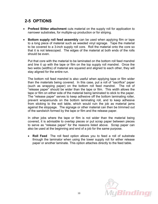# **2-5 OPTIONS**

- **Prefeed Slitter attachment** cuts material on the supply roll for application to narrower substrates, for multiple-up production or for striping.
- **Bottom supply roll feed assembly** can be used when applying film or tape to a long piece of material such as weeded vinyl signage. Tape the material to be covered to a 3-inch supply roll core. Roll the material onto the core so that it is not telescoped. The edges of the material at both ends of the rolls should be even.

Put that core with the material to be laminated on the bottom roll feed mandrel and line it up with the tape or film on the top supply roll mandrel. Once the two webs (widths) of material are squared and aligned to each other, they will stay aligned for the entire run.

The bottom roll feed mandrel is also useful when applying tape or film wider than the materials being covered. In this case, put a roll of "sacrifice" paper (such as wrapping paper) on the bottom roll feed mandrel. The roll of "release paper" should be wider than the tape or film. This width allows the tape or film on either side of the material being laminated to stick to the paper. The "release paper" serves to keep adhesive off the bottom laminating roller, prevent wraparounds on the bottom laminating roll, and to keep adhesive from sticking to the exit table, which would ruin the job as material jams against the stoppage. The signage or other material can then be trimmed out of the sandwich formed by the tape or film and the release paper.

In other jobs where the tape or film is not wider than the material being covered, it is advisable to overlap pieces or put scrap paper between pieces to serve as "release paper" for the reasons listed above. Scrap paper can also be used at the beginning and end of a job for the same purpose.

• **Roll Feed** The roll feed option allows you to feed a roll of substrate through the laminator when using the lower supply roll for either release paper or another laminate. This option attaches directly to the feed table.

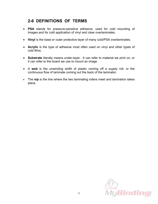## **2-6 DEFINITIONS OF TERMS**

- **PSA** stands for pressure-sensitive adhesive, used for cold mounting of images and for cold application of vinyl and clear overlaminates.
- **Vinyl** is the base or outer protective layer of many cold/PSA overlaminates.
- **Acrylic** is the type of adhesive most often used on vinyl and other types of cold films.
- **Substrate** literally means under-layer. It can refer to material we print on, or it can refer to the board we use to mount an image
- A **web** is the unwinding width of plastic coming off a supply roll, or the continuous flow of laminate coming out the back of the laminator.
- The **nip** is the line where the two laminating rollers meet and lamination takes place.

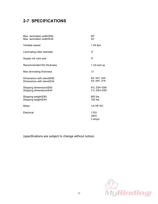# **2-7 SPECIFICATIONS**

| Max. lamination width/E60<br>Max. lamination width/E44 | 60"<br>44"                 |
|--------------------------------------------------------|----------------------------|
| Variable speed                                         | $1-25$ fpm                 |
| Laminating roller diameter                             | 3"                         |
| Supply roll core size                                  | 3"                         |
| Recommended film thickness                             | 1 mil and up               |
| Max laminating thickness                               | $\frac{1}{2}$ "            |
| Dimensions with stand/E60<br>Dimensions with stand/E44 | 80L 50H 34W<br>63L 48H 27W |
| Shipping dimensions/E60<br>Shipping dimensions/E44     | 91L 53H 43W<br>71L 53H 43W |
| Shipping weight/E60<br>Shipping weight/E44             | 805 lbs<br>700 lbs         |
| Motor                                                  | $1/4$ HP DC                |
| Electrical                                             | 110V<br>220V<br>3 amps     |

(specifications are subject to change without notice)

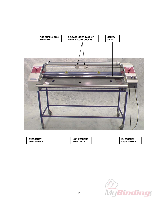

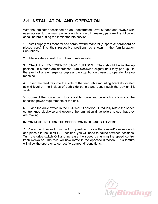## **3-1 INSTALLATION AND OPERATION**

With the laminator positioned on an unobstructed, level surface and always with easy access to the main power switch or circuit breaker, perform the following check before putting the laminator into service.

1. Install supply roll mandrel and scrap rewind mandrel (a spare 3" cardboard or plastic core) into their respective positions as shown in the familiarization illustrations.

2. Place safety shield down, toward rubber rolls.

3. Check both EMERGENCY STOP BUTTONS. They should be in the up position. If buttons are depressed, turn clockwise slightly until they pop up. In the event of any emergency depress the stop button closest to operator to stop machine.

4. Insert the feed tray into the slots of the feed table mounting brackets located at mid level on the insides of both side panels and gently push the tray until it seats.

5. Connect the power cord to a suitable power source which conforms to the specified power requirements of the unit.

6. Place the drive switch in the FORWARD position. Gradually rotate the speed control knob clockwise and observe the lamination drive rollers to see that they are moving.

#### **IMPORTANT: RETURN THE SPEED CONTROL KNOB TO ZERO!**

7. Place the drive switch in the OFF position. Locate the forward/reverse switch and place it in the REVERSE position, you will need to pause between positions. Turn the drive switch ON and increase the speed by turning the speed control knob clockwise. The rolls will now rotate in the opposite direction. This feature will allow the operator to correct "wraparound" conditions.

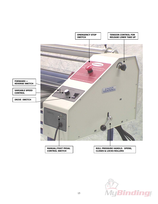

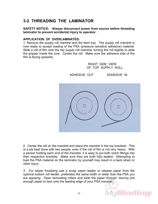## **3-2 THREADING THE LAMINATOR**

**SAFETY NOTICE: Always disconnect power from source before threading laminator to prevent accidental injury to operator.** 

#### **APPLICATION OF OVERLAMINATES:**

1. Remove the supply roll mandrel and the feed tray. The supply roll mandrel is now ready to accept loading of the PSA (pressure sensitive adhesive) material. Slide a roll of film onto the top supply roll mandrel, turning the roll slightly to slide the gripper inside the core. Center the roll. Make sure the adhesive side of the film is facing upwards.

> RIGHT SIDE VIEW OF TOP SUPPLY ROLL



Vly Binding p

ADHESIVE OUT ADHESIVE IN

2. Center the roll on the mandrel and place the mandrel in the top brackets. This is a job best done with two people, even if the roll of film is not very heavy. With a person holding each end of the mandrel, it is easy to put both notch fittings into their respective brackets. Make sure they are both fully seated. Attempting to load the PSA material on the laminator by yourself may result in a back strain or other injury.

3. For easier threading use a scrap paper leader or release paper from the optional bottom roll feeder, preferably the same width or wider than the PSA you are applying. Open laminating rollers and slide the paper through, leaving just enough paper to tack onto the leading edge of your PSA material.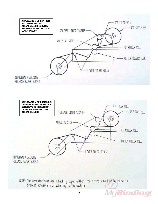



NOTE: The operator rust use a backing paper either from a supply roll of in sheets to prevent adhesive from adhering to the machine

MyBinding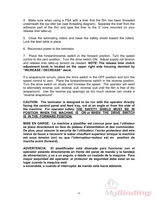4. Make sure when using a PSA with a liner that the film has been threaded underneath the top idler bar (see threading diagram). Separate the liner from the adhesive part of the film and tape the liner to the 3" core mounted on your release liner take-up.

5. Close the laminating rollers and lower the safety shield toward the rollers. Lock the feed table in place.

6. Reconnect power to the laminator.

7. Place the forward/reverse switch in the forward position. Turn the speed control to the zero position. Turn the drive switch ON. Adjust supply roll tension and release liner take-up tension as needed. *NOTE:* **The release liner clutch adjustment knob is located on the upper right side housing denoted by "INCREASE / DECREASE" decal.** 

If a wraparound occurs, place the drive switch in the OFF position and turn the speed control to zero. Place the forward/reverse switch in the reverse position. Turn the drive switch on slowly and increase the speed. The operator will need to alternately reverse, pull, reverse, pull, reverse, pull until the film is free of the wraparound. Use the reverse jog sparingly as too much reverse can create a "reverse wraparound".

**CAUTION: The laminator is designed to be run with the operator directly facing the control panel and feed tray, not at an angle or from the side of the machine. For operator safety, THE SAFETY SHIELD MUST BE IN POSITION WHEN THE MACHINE IS ON or WHEN THE DRIVE SWITCH IS IN THE FORWARD POSITION.**

**MISE EN GARGE: La machine a plastifier est concue pour que l'utilisteur se place directement en face du plateau d'alimentation et des commandes. De plus, pour assurer la securite de l'utilisateur, l'ecran protecteur doit etre releve de facon a recouvrir le sabor chauffant superieur lorsque la machine est sous tension (on) ou que l'interrupteur-moteur est en position de marche avant (forward).** 

**ADVERTENCIA: El plastificador está disenade para funcionar con el operador estando directamente en frente del panel de mando y la bandeja de alimentacion, y no a un angulo, o desde un costado de la maquina. Para mayor sequridad del operador, el protector de seguridad debe estar en su lugar cuando la maquina está** 

**a encendida, o cuando el interruptor de mando está hacia adelante.**

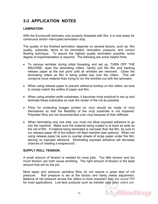# **3-3 APPLICATION NOTES**

#### **LAMINATION:**

With the Econocraft laminator now properly threaded with film, it is now ready for continuous and/or interrupted lamination duty.

The quality of the finished lamination depends on several factors, such as: film quality, substrate, items to be laminated, lamination pressure, and correct feeding technique. To assure the highest quality lamination possible, some degree of experimentation is required. The following are some helpful hints:

- To remove wrinkles during initial threading and set up, TURN OFF THE MACHINE, open the laminating rollers. Gently pull the film and backing release paper at the exit point until all wrinkles are removed. Close the laminating rollers as film is being pulled taut over the rollers. This will conserve more material than trying to run the wrinkles out with the laminator.
- When using release paper to prevent adhesive buildup on the rollers, be sure to closely match the widths of paper and film.
- When using smaller-width substrates, it becomes most practical to set up and laminate these substrates as near the center of the roll as possible.
- Films for protecting images printed on vinyl should be made of vinyl themselves so that the flexibility of the vinyl substrate is not impaired. Polyester films are not recommended over vinyl because of their stiffness.
- When laminating only one side, you must not allow exposed adhesive to go into the machine. Make sure the material being coated is at least as wide as the roll of film. If material being laminated is narrower than the film, be sure to run release paper off of the bottom roll feed mandrel (see options). When not using release paper be sure to overlap sheets of scrap paper under the film, leaving no exposed adhesive. Eliminating exposed adhesive will decrease chances of creating a wraparound.

#### **SUPPLY ROLL TENSION:**

A small amount of tension is needed for most jobs. Too little tension and too much tension can both cause wrinkling. The right amount of tension is the least amount that will do the job.

Most tapes and pressure sensitive films do not require a great deal of roll pressure. Roll pressure is set at the factory and rarely needs adjustment. Balance of roll pressure across the rollers is more important than the actual PSI for most applications. Low-tack products such as transfer tape (also called pre-

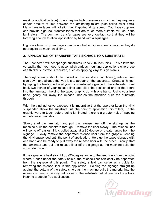mask or application tape) do not require high pressure as much as they require a certain amount of time between the laminating rollers (also called dwell time). Many transfer tapes will not stick well if applied at top speed. Your tape suppliers can provide high-tack transfer tapes that are much more suitable for use in the laminators. The common transfer tapes are very low-tack so that they will be forgiving enough to allow application by hand with a squeegee.

High-tack films, vinyl and tapes can be applied at higher speeds because they do not require as much dwell time.

#### **2. APPLICATION OF TRANSFER TAPE SIGNAGE TO A SUBSTRATE:**

The Econocraft will accept rigid substrates up to 7/16 inch thick. This allows the versatility that you need to accomplish various mounting applications where use of a thicker substrate is required, such as applying vinyl to sign blanks.

The vinyl signage should be placed on the substrate (signboard), release liner side down and aligned the way it is to appear on the substrate. Create a "hinge" by taping the leading edge of your transfer-taped signage to the substrate. Peel back two inches of your release liner and slide the positioned end of the board into the laminator, holding the taped graphic up with one hand. Using your free hand, gently pull away the release liner as the machine pulls the substrate through.

With the vinyl adhesive exposed it is imperative that the operator keep the vinyl suspended above the substrate until the point of application (nip rollers). If the graphic were to touch before being laminated, there is a greater risk of trapping air bubbles or wrinkles.

Slowly start the laminator and pull the release liner off the signage as the machine pulls the substrate through. Remove the liner slowly. The release liner will come off easiest if it is pulled away at a 90 degree or greater angle from the signage. Slowly remove the separated release liner from the graphic, keeping the vinyl suspended until the point of application. Hold up the taped signage with one hand and be ready to pull away the release liner with the other. Slowly start the laminator and pull the release liner off the signage as the machine pulls the substrate through.

If the signage is held straight up (90-degree angle to the feed tray) from the point where it curls under the safety shield, the release liner can easily be separated from the signage at this point. The safety shield can serve as a guide for removing the release liner in this application. Holding the signage straight up against the bottom of the safety shield as the machine pulls the material into the rollers also keeps the vinyl adhesive off the substrate until it reaches the rollers, insuring a bubble-free application.

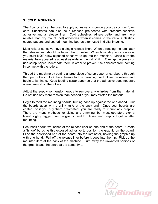#### **3. COLD MOUNTING:**

The Econocraft can be used to apply adhesive to mounting boards such as foam core. Substrates can also be purchased pre-coated with pressure-sensitive adhesive and a release liner. Cold adhesives adhere better and are more reliable than dry mount (hot) adhesives when it comes to the various plastics, coated papers, and coated mounting boards often used in digital imaging.

Most rolls of adhesive have a single release liner. When threading the laminator the release liner should be facing the top roller. When laminating only one side, you must **NOT** allow exposed adhesive to go into the machine. Make sure the material being coated is at least as wide as the roll of film. Overlap the pieces or use scrap paper underneath them in order to prevent the adhesive from coming in contact with the rollers.

Thread the machine by putting a large piece of scrap paper or cardboard through the open rollers. Stick the adhesive to this threading card, close the rollers, and begin to laminate. Keep feeding scrap paper so that the adhesive does not start a wraparound on the rollers.

Adjust the supply roll tension knobs to remove any wrinkles from the material. Do not use any more tension than needed or you may stretch the material.

Begin to feed the mounting boards, butting each up against the one ahead. Cut the boards apart with a utility knife at the back end. Once your boards are coated, or if you buy them pre-coated, you are ready to mount any graphic. There are many methods for sizing and trimming, but most operators pick a board slightly bigger than the graphic and trim board and graphic together after mounting.

Peel back about two inches of the release liner on one end of the board. Create a "hinge" by using this exposed adhesive to position the graphic on the board. Slide the positioned end of the board into the laminator, holding the graphic up with one hand. Pull off the release liner before it goes into the nip. Pick up the mounted item at the back of the machine. Trim away the unwanted portions of the graphic and the board at the same time.

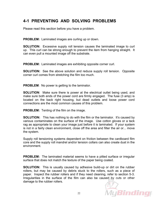## **4-1 PREVENTING AND SOLVING PROBLEMS**

Please read this section before you have a problem.

**PROBLEM:** Laminated images are curling up or down.

**SOLUTION:** Excessive supply roll tension causes the laminated image to curl up. This curl can be strong enough to prevent the item from hanging straight. It can even pull a mounted image off the substrate.

**PROBLEM:** Laminated images are exhibiting opposite corner curl.

**SOLUTION:** See the above solution and reduce supply roll tension. Opposite corner curl comes from stretching the film too much.

**PROBLEM**: No power is getting to the laminator.

**SOLUTION**: Make sure there is power at the electrical outlet being used, and make sure both ends of the power cord are firmly engaged. The fuse (3 amp) is located on the back right housing, but dead outlets and loose power cord connections are the most common causes of this problem.

**PROBLEM:** Tenting of the film on the image.

**SOLUTION:** This has nothing to do with the film or the laminator. It's caused by various contaminates on the surface of the image. Use cotton gloves or a tack rag as appropriate to clean your image just before it is laminated. If your system is not in a fairly clean environment, close off the area and filter the air or... move the system.

Supply roll tensioning systems dependent on friction between the cardboard film core and the supply roll mandrel and/or tension collars can also create dust in the environment.

**PROBLEM:** The laminated material seems to have a pitted surface or irregular surface that does not match the texture of the paper being coated.

**SOLUTION:** This is usually caused by adhesive build-up or dirt on the rubber rollers, but may be caused by debris stuck to the rollers, such as a piece of paper. Inspect the rubber rollers and if they need cleaning, refer to section 5-3. Irregularities in the surface of the film can also be caused by cuts or other damage to the rubber rollers.

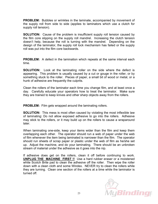**PROBLEM:** Bubbles or wrinkles in the laminate, accompanied by movement of the supply roll from side to side (applies to laminators which use a clutch for supply roll tension).

**SOLUTION:** Cause of the problem is insufficient supply roll tension caused by the film core slipping on the supply roll mandrel. Increasing the clutch tension doesn't help, because the roll is turning with the mandrel. Depending on the design of the laminator, the supply roll lock mechanism has failed or the supply roll was put into the film core backwards.

**PROBLEM:** A defect in the lamination which repeats at the same interval each time.

**SOLUTION:** Look at the laminating roller on the side where the defect is appearing. This problem is usually caused by a cut or gouge in the roller, or by something stuck to the roller. Pieces of paper, a small bit of wood or metal, or a hunk of adhesive are frequently the culprits.

Clean the rollers of the laminator each time you change film, and at least once a day. Carefully educate your operators how to treat the laminator. Make sure they are trained to keep knives and other sharp objects away from the rollers.

**PROBLEM:** Film gets wrapped around the laminating rollers.

**SOLUTION:** This mess is most often caused by violating the most inflexible law of laminating: Do not allow exposed adhesive to go into the rollers. Adhesive may stick to the rollers, or it may build up on the rollers to cause a wraparound **later** 

When laminating one-side, keep your items wider than the film and keep them overlapping each other. The operator should run a web of paper under the web of film whenever the item being laminated is narrower than the film. The operator should run sheets of scrap paper or plastic under the web of film as he/she set up. Adjust the machine, and do your laminating. There should be an unbroken stream of material under the adhesive as it goes into the nip.

If adhesive does get on the rollers, clean it off before continuing to work. **UNPLUG THE MACHINE FIRST !!** Use a hard rubber eraser or a moistened white Scotch Brite pad to clean the adhesive off the roller. Then wipe the roller down with a clean cloth and some Windex. NEVER try to clean the rollers while they are turning. Clean one section of the rollers at a time while the laminator is turned off.

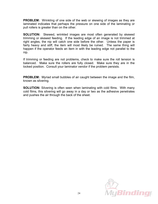**PROBLEM:** Wrinkling of one side of the web or skewing of images as they are laminated indicates that perhaps the pressure on one side of the laminating or pull rollers is greater than on the other.

**SOLUTION:** Skewed, wrinkled images are most often generated by skewed trimming or skewed feeding. If the leading edge of an image is not trimmed at right angles, the nip will catch one side before the other. Unless the paper is fairly heavy and stiff, the item will most likely be ruined. The same thing will happen if the operator feeds an item in with the leading edge not parallel to the nip.

If trimming or feeding are not problems, check to make sure the roll tension is balanced. Make sure the rollers are fully closed. Make sure they are in the locked position. Consult your laminator vendor if the problem persists.

**PROBLEM:** Myriad small bubbles of air caught between the image and the film, known as silvering.

**SOLUTION:** Silvering is often seen when laminating with cold films. With many cold films, this silvering will go away in a day or two as the adhesive penetrates and pushes the air through the back of the sheet.

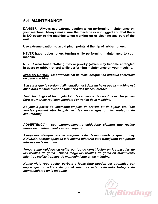### **5-1 MAINTENANCE**

**DANGER: Always use extreme caution when performing maintenance on your machine! Always make sure the machine is unplugged and that there is NO power to the machine when working on or cleaning any part of the unit.**

**Use extreme caution to avoid pinch points at the nip of rubber rollers.**

**NEVER have rubber rollers turning while performing maintenance to your machine.** 

**NEVER wear loose clothing, ties or jewelry (which may become entangled in gears or rubber rollers) while performing maintenance on your machine.** 

*MISE EN GARDE: La prudence est de mise lorsque l'on effectue l'entretien de cette machine.* 

*S'assurer que le cordon d'alimentation est débranché et que la machine est mise hors tension avant de toucher à des pièces internes.* 

*Tenir les doigts et les objets loin des roulequx de caoutchouc. Ne jamais faire tourner les rouleaux pendant l'entretien de la machine.* 

*Ne jamais porter de vetements amples, de cravate ou de bijoux, etc. (ces articles peuvent etra happés par les engrenages ou les roulequx de caoutchouc).* 

*ADVERTENCIA: sea extremadamente cuidadoso siempre que realice tareas de mantenimiento en su maquina.* 

*Aseqúrese siempre que la máquina está desenchufada y que no hay NINGUNA energia aplicada a la misma mientras esté trabajando con partes internas de la máquina.* 

*Tenga sumo cuidado en evitar puntos de constricción en las pasadas de los rodillos de goma. Nunca tenga los rodillos de goma en movimiento mientras realiza trabajos de mantenimiento en su máquina.* 

*Nunca vista ropa suelta, corbata o joyas (que peuden ser atrapadas por engrenajes o rodillos de goma) mientras está realizando trabajos de mantenimiento en la máquina* 

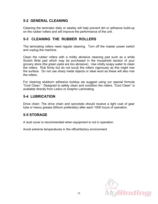#### **5-2 GENERAL CLEANING**

Cleaning the laminator daily or weekly will help prevent dirt or adhesive build-up on the rubber rollers and will improve the performance of the unit.

#### **5-3 CLEANING THE RUBBER ROLLERS**

The laminating rollers need regular cleaning. Turn off the master power switch and unplug the machine.

Clean the rubber rollers with a mildly abrasive cleaning pad such as a white Scotch Brite pad which may be purchased in the household section of your grocery store (the green pads are too abrasive). Use mildly soapy water to clean the rollers. Rub firmly but do not scrub the rollers vigorously as this might mar the surface. Do not use sharp metal objects or steel wool as these will also mar the rollers.

For cleaning stubborn adhesive buildup we suggest using our special formula "Cool Clean." Designed to safely clean and condition the rollers, "Cool Clean" is available directly from Ledco or Graphic Laminating.

#### **5-4 LUBRICATION**

Drive chain: The drive chain and sprockets should receive a light coat of gear lube or heavy grease (lithium preferably) after each 1000 hours of operation.

#### **5-5 STORAGE**

A dust cover is recommended when equipment is not in operation.

Avoid extreme temperatures in the office/factory environment.

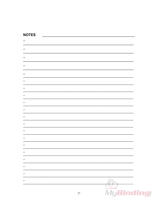#### **NOTES**

|        | $\mathcal{P}$ |  |
|--------|---------------|--|
|        |               |  |
| $27\,$ | MyBindling    |  |
|        |               |  |